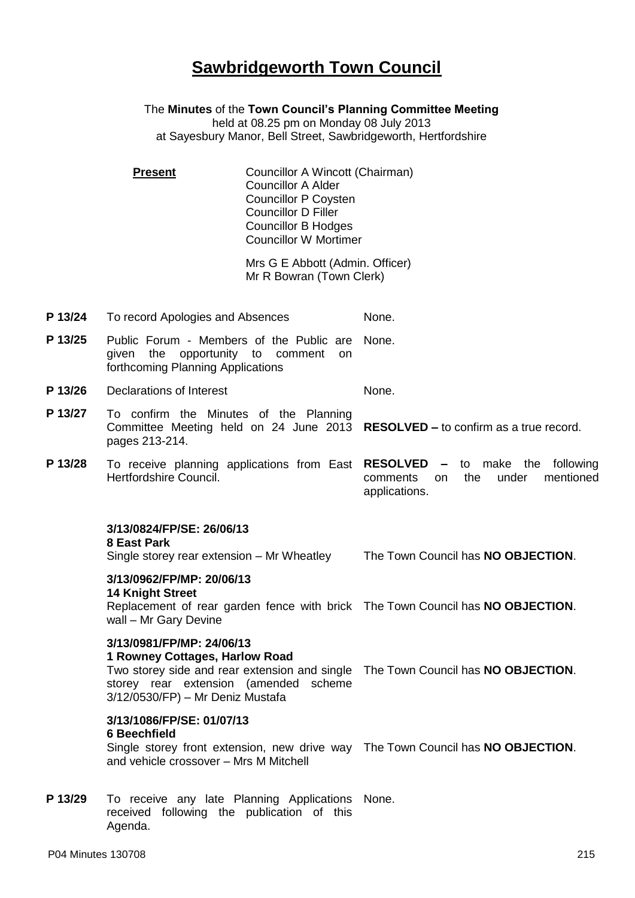# **Sawbridgeworth Town Council**

The **Minutes** of the **Town Council's Planning Committee Meeting** held at 08.25 pm on Monday 08 July 2013 at Sayesbury Manor, Bell Street, Sawbridgeworth, Hertfordshire

**Present Councillor A Wincott (Chairman)** Councillor A Alder Councillor P Coysten Councillor D Filler Councillor B Hodges Councillor W Mortimer

> Mrs G E Abbott (Admin. Officer) Mr R Bowran (Town Clerk)

- **P 13/24** To record Apologies and Absences None.
- **P 13/25** Public Forum Members of the Public are None. given the opportunity to comment on forthcoming Planning Applications
- **P 13/26** Declarations of Interest None.
- **P 13/27** To confirm the Minutes of the Planning Committee Meeting held on 24 June 2013 **RESOLVED –** to confirm as a true record. pages 213-214.
- **P 13/28** To receive planning applications from East **RESOLVED –** to make the following Hertfordshire Council. comments on the under mentioned applications.

### **3/13/0824/FP/SE: 26/06/13**

### **8 East Park**

Single storey rear extension – Mr Wheatley The Town Council has **NO OBJECTION**.

**3/13/0962/FP/MP: 20/06/13 14 Knight Street**

Replacement of rear garden fence with brick The Town Council has **NO OBJECTION**. wall – Mr Gary Devine

### **3/13/0981/FP/MP: 24/06/13**

### **1 Rowney Cottages, Harlow Road**

Two storey side and rear extension and single The Town Council has **NO OBJECTION**. storey rear extension (amended scheme 3/12/0530/FP) – Mr Deniz Mustafa

## **3/13/1086/FP/SE: 01/07/13**

#### **6 Beechfield**

Single storey front extension, new drive way The Town Council has **NO OBJECTION**. and vehicle crossover – Mrs M Mitchell

P 13/29 To receive any late Planning Applications None. received following the publication of this Agenda.